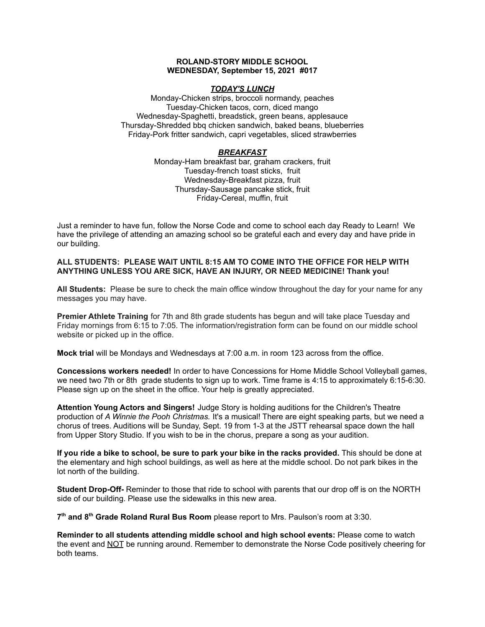#### **ROLAND-STORY MIDDLE SCHOOL WEDNESDAY, September 15, 2021 #017**

#### *TODAY'S LUNCH*

Monday-Chicken strips, broccoli normandy, peaches Tuesday-Chicken tacos, corn, diced mango Wednesday-Spaghetti, breadstick, green beans, applesauce Thursday-Shredded bbq chicken sandwich, baked beans, blueberries Friday-Pork fritter sandwich, capri vegetables, sliced strawberries

#### *BREAKFAST*

Monday-Ham breakfast bar, graham crackers, fruit Tuesday-french toast sticks, fruit Wednesday-Breakfast pizza, fruit Thursday-Sausage pancake stick, fruit Friday-Cereal, muffin, fruit

Just a reminder to have fun, follow the Norse Code and come to school each day Ready to Learn! We have the privilege of attending an amazing school so be grateful each and every day and have pride in our building.

#### **ALL STUDENTS: PLEASE WAIT UNTIL 8:15 AM TO COME INTO THE OFFICE FOR HELP WITH ANYTHING UNLESS YOU ARE SICK, HAVE AN INJURY, OR NEED MEDICINE! Thank you!**

**All Students:** Please be sure to check the main office window throughout the day for your name for any messages you may have.

**Premier Athlete Training** for 7th and 8th grade students has begun and will take place Tuesday and Friday mornings from 6:15 to 7:05. The information/registration form can be found on our middle school website or picked up in the office.

**Mock trial** will be Mondays and Wednesdays at 7:00 a.m. in room 123 across from the office.

**Concessions workers needed!** In order to have Concessions for Home Middle School Volleyball games, we need two 7th or 8th grade students to sign up to work. Time frame is 4:15 to approximately 6:15-6:30. Please sign up on the sheet in the office. Your help is greatly appreciated.

**Attention Young Actors and Singers!** Judge Story is holding auditions for the Children's Theatre production of *A Winnie the Pooh Christmas.* It's a musical! There are eight speaking parts, but we need a chorus of trees. Auditions will be Sunday, Sept. 19 from 1-3 at the JSTT rehearsal space down the hall from Upper Story Studio. If you wish to be in the chorus, prepare a song as your audition.

**If you ride a bike to school, be sure to park your bike in the racks provided.** This should be done at the elementary and high school buildings, as well as here at the middle school. Do not park bikes in the lot north of the building.

**Student Drop-Off-** Reminder to those that ride to school with parents that our drop off is on the NORTH side of our building. Please use the sidewalks in this new area.

**7 th and 8 th Grade Roland Rural Bus Room** please report to Mrs. Paulson's room at 3:30.

**Reminder to all students attending middle school and high school events:** Please come to watch the event and NOT be running around. Remember to demonstrate the Norse Code positively cheering for both teams.